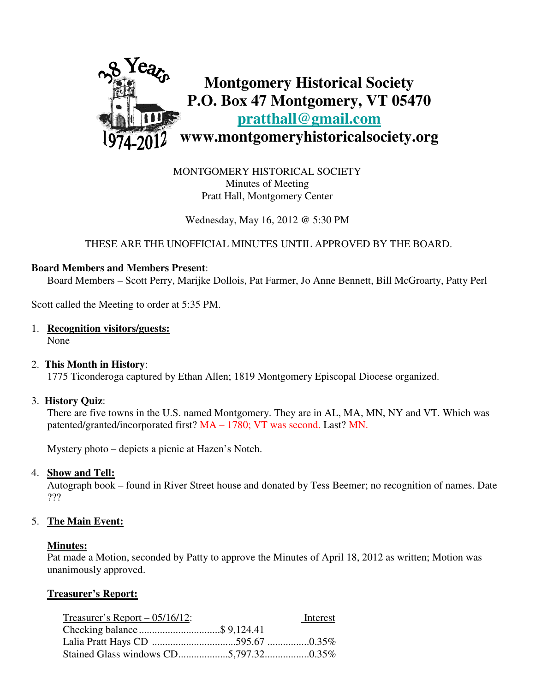

MONTGOMERY HISTORICAL SOCIETY Minutes of Meeting Pratt Hall, Montgomery Center

Wednesday, May 16, 2012 @ 5:30 PM

## THESE ARE THE UNOFFICIAL MINUTES UNTIL APPROVED BY THE BOARD.

## **Board Members and Members Present**:

Board Members – Scott Perry, Marijke Dollois, Pat Farmer, Jo Anne Bennett, Bill McGroarty, Patty Perl

Scott called the Meeting to order at 5:35 PM.

1. **Recognition visitors/guests:**

None

## 2. **This Month in History**:

1775 Ticonderoga captured by Ethan Allen; 1819 Montgomery Episcopal Diocese organized.

## 3. **History Quiz**:

 There are five towns in the U.S. named Montgomery. They are in AL, MA, MN, NY and VT. Which was patented/granted/incorporated first? MA – 1780; VT was second. Last? MN.

Mystery photo – depicts a picnic at Hazen's Notch.

## 4. **Show and Tell:**

 Autograph book – found in River Street house and donated by Tess Beemer; no recognition of names. Date ???

## 5. **The Main Event:**

#### **Minutes:**

Pat made a Motion, seconded by Patty to approve the Minutes of April 18, 2012 as written; Motion was unanimously approved.

## **Treasurer's Report:**

| Treasurer's Report $- 05/16/12$ : | Interest |
|-----------------------------------|----------|
|                                   |          |
|                                   |          |
|                                   |          |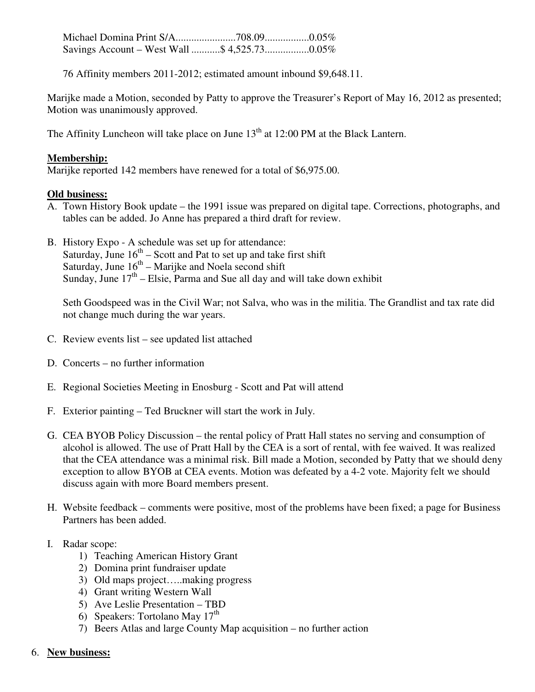Michael Domina Print S/A.......................708.09.................0.05% Savings Account – West Wall ...........\$ 4,525.73.................0.05%

76 Affinity members 2011-2012; estimated amount inbound \$9,648.11.

Marijke made a Motion, seconded by Patty to approve the Treasurer's Report of May 16, 2012 as presented; Motion was unanimously approved.

The Affinity Luncheon will take place on June  $13<sup>th</sup>$  at 12:00 PM at the Black Lantern.

# **Membership:**

Marijke reported 142 members have renewed for a total of \$6,975.00.

## **Old business:**

- A. Town History Book update the 1991 issue was prepared on digital tape. Corrections, photographs, and tables can be added. Jo Anne has prepared a third draft for review.
- B. History Expo A schedule was set up for attendance: Saturday, June  $16^{th}$  – Scott and Pat to set up and take first shift Saturday, June  $16<sup>th</sup>$  – Marijke and Noela second shift Sunday, June  $17<sup>th</sup>$  – Elsie, Parma and Sue all day and will take down exhibit

 Seth Goodspeed was in the Civil War; not Salva, who was in the militia. The Grandlist and tax rate did not change much during the war years.

- C. Review events list see updated list attached
- D. Concerts no further information
- E. Regional Societies Meeting in Enosburg Scott and Pat will attend
- F. Exterior painting Ted Bruckner will start the work in July.
- G. CEA BYOB Policy Discussion the rental policy of Pratt Hall states no serving and consumption of alcohol is allowed. The use of Pratt Hall by the CEA is a sort of rental, with fee waived. It was realized that the CEA attendance was a minimal risk. Bill made a Motion, seconded by Patty that we should deny exception to allow BYOB at CEA events. Motion was defeated by a 4-2 vote. Majority felt we should discuss again with more Board members present.
- H. Website feedback comments were positive, most of the problems have been fixed; a page for Business Partners has been added.
- I. Radar scope:
	- 1) Teaching American History Grant
	- 2) Domina print fundraiser update
	- 3) Old maps project…..making progress
	- 4) Grant writing Western Wall
	- 5) Ave Leslie Presentation TBD
- 6) Speakers: Tortolano May  $17<sup>th</sup>$ 
	- 7) Beers Atlas and large County Map acquisition no further action
- 6. **New business:**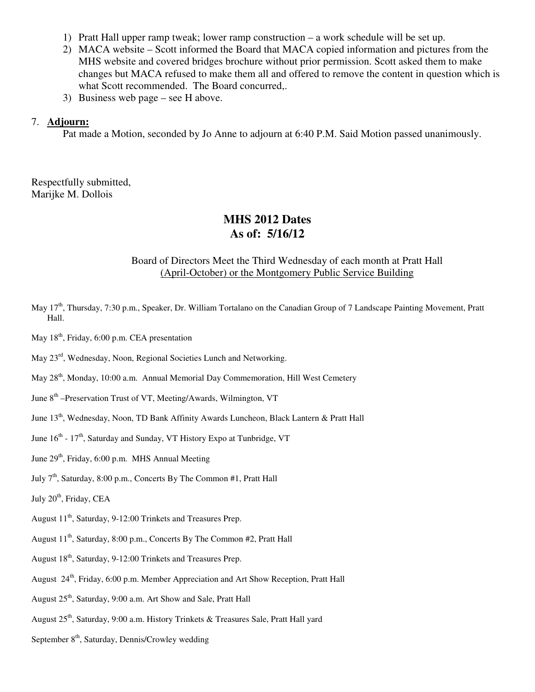- 1) Pratt Hall upper ramp tweak; lower ramp construction a work schedule will be set up.
- 2) MACA website Scott informed the Board that MACA copied information and pictures from the MHS website and covered bridges brochure without prior permission. Scott asked them to make changes but MACA refused to make them all and offered to remove the content in question which is what Scott recommended. The Board concurred,.
- 3) Business web page see H above.

#### 7. **Adjourn:**

Pat made a Motion, seconded by Jo Anne to adjourn at 6:40 P.M. Said Motion passed unanimously.

Respectfully submitted, Marijke M. Dollois

# **MHS 2012 Dates As of: 5/16/12**

## Board of Directors Meet the Third Wednesday of each month at Pratt Hall (April-October) or the Montgomery Public Service Building

- May 17<sup>th</sup>, Thursday, 7:30 p.m., Speaker, Dr. William Tortalano on the Canadian Group of 7 Landscape Painting Movement, Pratt Hall.
- May  $18<sup>th</sup>$ , Friday, 6:00 p.m. CEA presentation
- May 23rd, Wednesday, Noon, Regional Societies Lunch and Networking.
- May 28<sup>th</sup>, Monday, 10:00 a.m. Annual Memorial Day Commemoration, Hill West Cemetery
- June 8<sup>th</sup> –Preservation Trust of VT, Meeting/Awards, Wilmington, VT
- June 13<sup>th</sup>, Wednesday, Noon, TD Bank Affinity Awards Luncheon, Black Lantern & Pratt Hall
- June  $16<sup>th</sup>$   $17<sup>th</sup>$ , Saturday and Sunday, VT History Expo at Tunbridge, VT
- June 29<sup>th</sup>, Friday, 6:00 p.m. MHS Annual Meeting
- July  $7<sup>th</sup>$ , Saturday, 8:00 p.m., Concerts By The Common #1, Pratt Hall
- July 20<sup>th</sup>, Friday, CEA
- August 11<sup>th</sup>, Saturday, 9-12:00 Trinkets and Treasures Prep.
- August 11<sup>th</sup>, Saturday, 8:00 p.m., Concerts By The Common #2, Pratt Hall
- August 18<sup>th</sup>, Saturday, 9-12:00 Trinkets and Treasures Prep.
- August 24<sup>th</sup>, Friday, 6:00 p.m. Member Appreciation and Art Show Reception, Pratt Hall
- August 25<sup>th</sup>, Saturday, 9:00 a.m. Art Show and Sale, Pratt Hall
- August  $25<sup>th</sup>$ , Saturday, 9:00 a.m. History Trinkets & Treasures Sale, Pratt Hall yard
- September  $8<sup>th</sup>$ , Saturday, Dennis/Crowley wedding